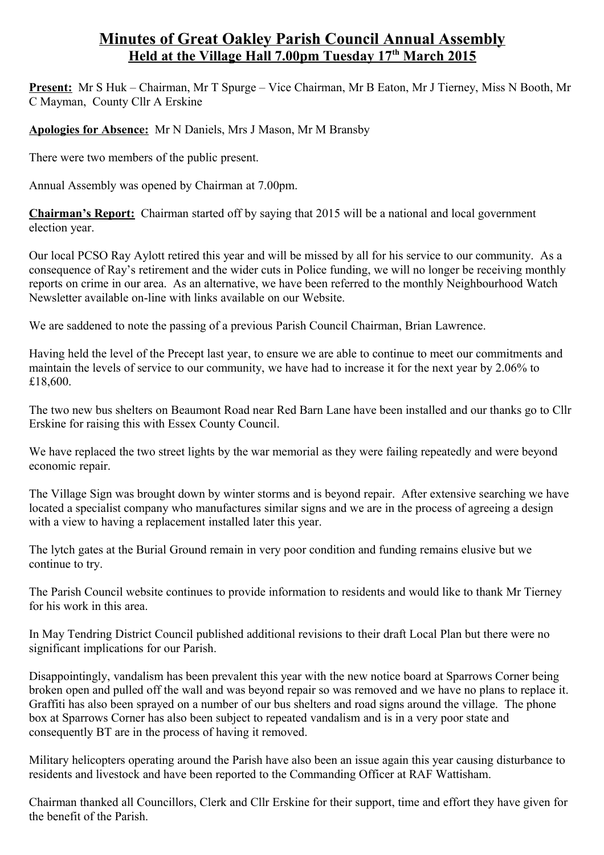## **Minutes of Great Oakley Parish Council Annual Assembly Held at the Village Hall 7.00pm Tuesday 17th March 2015**

**Present:** Mr S Huk – Chairman, Mr T Spurge – Vice Chairman, Mr B Eaton, Mr J Tierney, Miss N Booth, Mr C Mayman, County Cllr A Erskine

**Apologies for Absence:** Mr N Daniels, Mrs J Mason, Mr M Bransby

There were two members of the public present.

Annual Assembly was opened by Chairman at 7.00pm.

**Chairman's Report:** Chairman started off by saying that 2015 will be a national and local government election year.

Our local PCSO Ray Aylott retired this year and will be missed by all for his service to our community. As a consequence of Ray's retirement and the wider cuts in Police funding, we will no longer be receiving monthly reports on crime in our area. As an alternative, we have been referred to the monthly Neighbourhood Watch Newsletter available on-line with links available on our Website.

We are saddened to note the passing of a previous Parish Council Chairman, Brian Lawrence.

Having held the level of the Precept last year, to ensure we are able to continue to meet our commitments and maintain the levels of service to our community, we have had to increase it for the next year by 2.06% to £18,600.

The two new bus shelters on Beaumont Road near Red Barn Lane have been installed and our thanks go to Cllr Erskine for raising this with Essex County Council.

We have replaced the two street lights by the war memorial as they were failing repeatedly and were beyond economic repair.

The Village Sign was brought down by winter storms and is beyond repair. After extensive searching we have located a specialist company who manufactures similar signs and we are in the process of agreeing a design with a view to having a replacement installed later this year.

The lytch gates at the Burial Ground remain in very poor condition and funding remains elusive but we continue to try.

The Parish Council website continues to provide information to residents and would like to thank Mr Tierney for his work in this area.

In May Tendring District Council published additional revisions to their draft Local Plan but there were no significant implications for our Parish.

Disappointingly, vandalism has been prevalent this year with the new notice board at Sparrows Corner being broken open and pulled off the wall and was beyond repair so was removed and we have no plans to replace it. Graffiti has also been sprayed on a number of our bus shelters and road signs around the village. The phone box at Sparrows Corner has also been subject to repeated vandalism and is in a very poor state and consequently BT are in the process of having it removed.

Military helicopters operating around the Parish have also been an issue again this year causing disturbance to residents and livestock and have been reported to the Commanding Officer at RAF Wattisham.

Chairman thanked all Councillors, Clerk and Cllr Erskine for their support, time and effort they have given for the benefit of the Parish.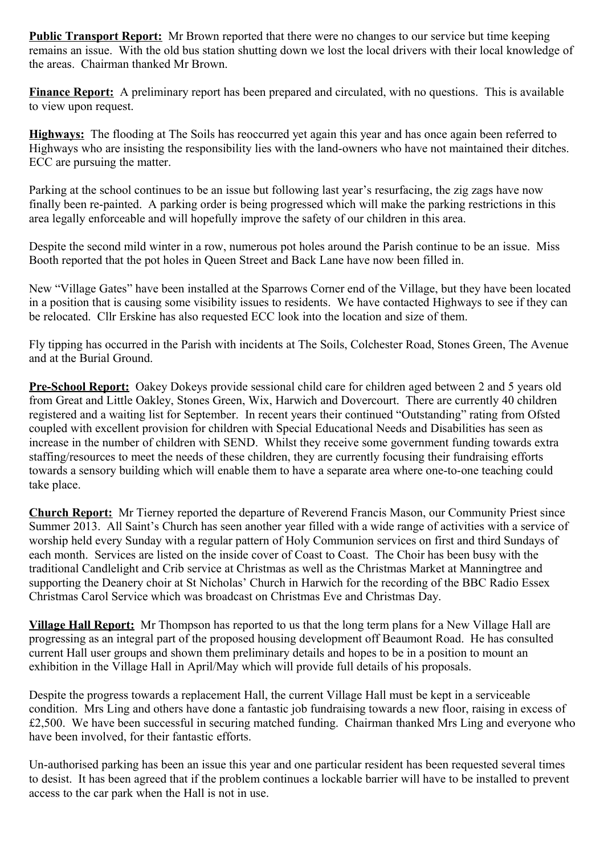**Public Transport Report:** Mr Brown reported that there were no changes to our service but time keeping remains an issue. With the old bus station shutting down we lost the local drivers with their local knowledge of the areas. Chairman thanked Mr Brown.

**Finance Report:** A preliminary report has been prepared and circulated, with no questions. This is available to view upon request.

**Highways:** The flooding at The Soils has reoccurred yet again this year and has once again been referred to Highways who are insisting the responsibility lies with the land-owners who have not maintained their ditches. ECC are pursuing the matter.

Parking at the school continues to be an issue but following last year's resurfacing, the zig zags have now finally been re-painted. A parking order is being progressed which will make the parking restrictions in this area legally enforceable and will hopefully improve the safety of our children in this area.

Despite the second mild winter in a row, numerous pot holes around the Parish continue to be an issue. Miss Booth reported that the pot holes in Queen Street and Back Lane have now been filled in.

New "Village Gates" have been installed at the Sparrows Corner end of the Village, but they have been located in a position that is causing some visibility issues to residents. We have contacted Highways to see if they can be relocated. Cllr Erskine has also requested ECC look into the location and size of them.

Fly tipping has occurred in the Parish with incidents at The Soils, Colchester Road, Stones Green, The Avenue and at the Burial Ground.

**Pre-School Report:** Oakey Dokeys provide sessional child care for children aged between 2 and 5 years old from Great and Little Oakley, Stones Green, Wix, Harwich and Dovercourt. There are currently 40 children registered and a waiting list for September. In recent years their continued "Outstanding" rating from Ofsted coupled with excellent provision for children with Special Educational Needs and Disabilities has seen as increase in the number of children with SEND. Whilst they receive some government funding towards extra staffing/resources to meet the needs of these children, they are currently focusing their fundraising efforts towards a sensory building which will enable them to have a separate area where one-to-one teaching could take place.

**Church Report:** Mr Tierney reported the departure of Reverend Francis Mason, our Community Priest since Summer 2013. All Saint's Church has seen another year filled with a wide range of activities with a service of worship held every Sunday with a regular pattern of Holy Communion services on first and third Sundays of each month. Services are listed on the inside cover of Coast to Coast. The Choir has been busy with the traditional Candlelight and Crib service at Christmas as well as the Christmas Market at Manningtree and supporting the Deanery choir at St Nicholas' Church in Harwich for the recording of the BBC Radio Essex Christmas Carol Service which was broadcast on Christmas Eve and Christmas Day.

**Village Hall Report:** Mr Thompson has reported to us that the long term plans for a New Village Hall are progressing as an integral part of the proposed housing development off Beaumont Road. He has consulted current Hall user groups and shown them preliminary details and hopes to be in a position to mount an exhibition in the Village Hall in April/May which will provide full details of his proposals.

Despite the progress towards a replacement Hall, the current Village Hall must be kept in a serviceable condition. Mrs Ling and others have done a fantastic job fundraising towards a new floor, raising in excess of £2,500. We have been successful in securing matched funding. Chairman thanked Mrs Ling and everyone who have been involved, for their fantastic efforts.

Un-authorised parking has been an issue this year and one particular resident has been requested several times to desist. It has been agreed that if the problem continues a lockable barrier will have to be installed to prevent access to the car park when the Hall is not in use.